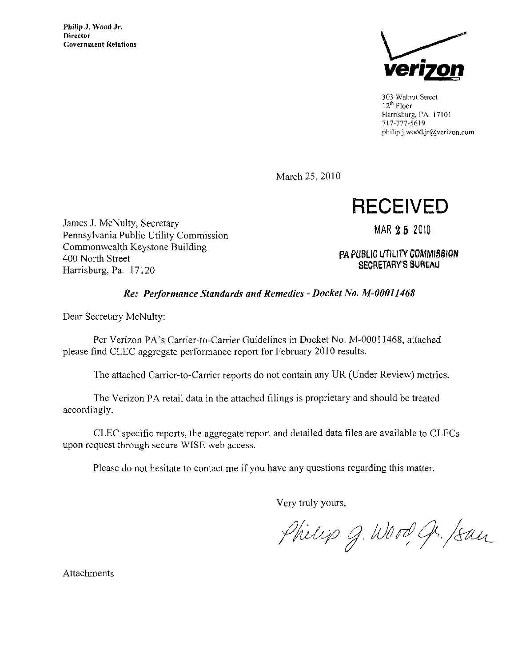

303 Walnut Street  $12<sup>th</sup>$  Floor Harrisburg, PA 17101 717-777-5619 philip.j.wood.jr@verizon.com

March 25, 2010

**RECEIVED** 

James J. McNulty, Secretary Pennsylvania Public Utility Commission Commonwealth Keystone Building 400 North Street Harrisburg, Pa. 17120

MAR 25 2010

PA PUBLIC UTILITY COMMISSION **SECRETARY'S BUREAU** 

## Re: Performance Standards and Remedies - Docket No. M-00011468

Dear Secretary McNulty:

Per Verizon PA's Carrier-to-Carrier Guidelines in Docket No. M-00011468, attached please find CLEC aggregate performance report for February 2010 results.

The attached Carrier-to-Carrier reports do not contain any UR (Under Review) metrics.

The Verizon PA retail data in the attached filings is proprietary and should be treated accordingly.

CLEC specific reports, the aggregate report and detailed data files are available to CLECs upon request through secure WISE web access.

Please do not hesitate to contact me if you have any questions regarding this matter.

Very truly yours,

Philip g. Wood gr. /san

Attachments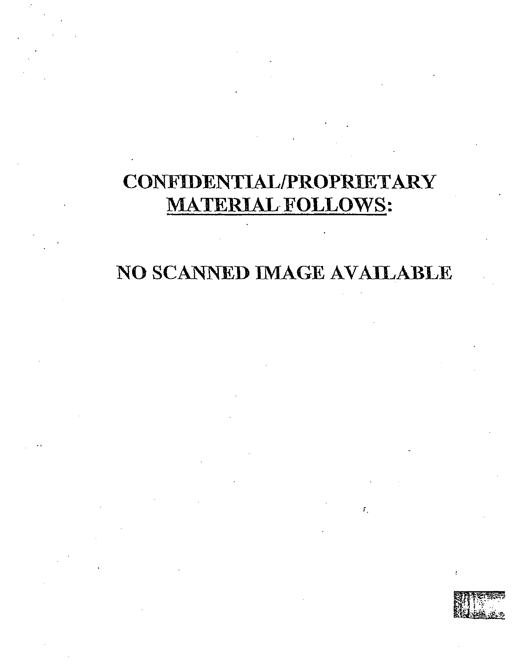## CONFIDENTIAL/PROPRIETARY **MATERIAL FOLLOWS:**

## NO SCANNED IMAGE AVAILABLE

 $\bar{r}_1$